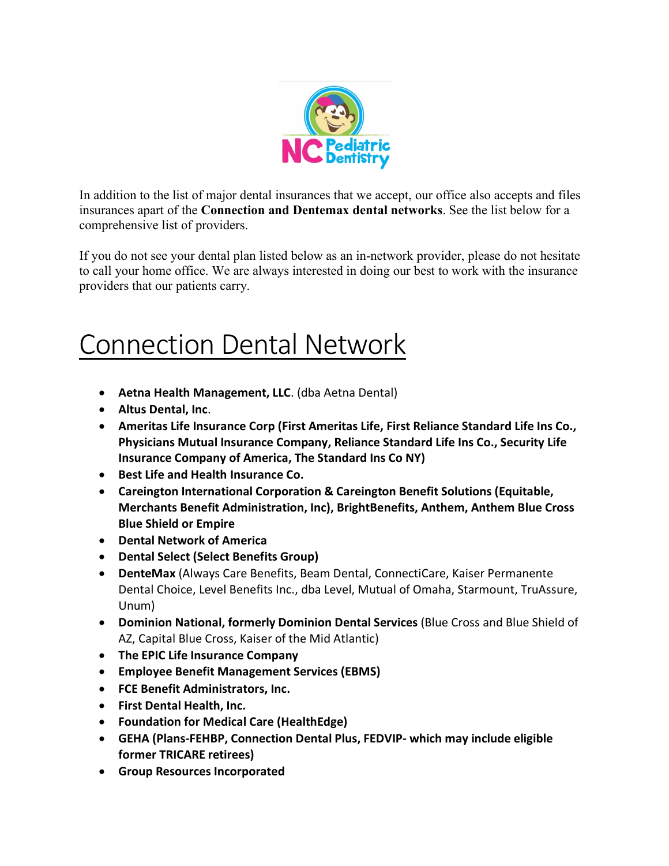

In addition to the list of major dental insurances that we accept, our office also accepts and files insurances apart of the **Connection and Dentemax dental networks**. See the list below for a comprehensive list of providers.

If you do not see your dental plan listed below as an in-network provider, please do not hesitate to call your home office. We are always interested in doing our best to work with the insurance providers that our patients carry.

## Connection Dental Network

- **Aetna Health Management, LLC**. (dba Aetna Dental)
- **Altus Dental, Inc**.
- **Ameritas Life Insurance Corp (First Ameritas Life, First Reliance Standard Life Ins Co., Physicians Mutual Insurance Company, Reliance Standard Life Ins Co., Security Life Insurance Company of America, The Standard Ins Co NY)**
- **Best Life and Health Insurance Co.**
- **Careington International Corporation & Careington Benefit Solutions (Equitable, Merchants Benefit Administration, Inc), BrightBenefits, Anthem, Anthem Blue Cross Blue Shield or Empire**
- **Dental Network of America**
- **Dental Select (Select Benefits Group)**
- **DenteMax** (Always Care Benefits, Beam Dental, ConnectiCare, Kaiser Permanente Dental Choice, Level Benefits Inc., dba Level, Mutual of Omaha, Starmount, TruAssure, Unum)
- **Dominion National, formerly Dominion Dental Services** (Blue Cross and Blue Shield of AZ, Capital Blue Cross, Kaiser of the Mid Atlantic)
- **The EPIC Life Insurance Company**
- **Employee Benefit Management Services (EBMS)**
- **FCE Benefit Administrators, Inc.**
- **First Dental Health, Inc.**
- **Foundation for Medical Care (HealthEdge)**
- **GEHA (Plans-FEHBP, Connection Dental Plus, FEDVIP- which may include eligible former TRICARE retirees)**
- **Group Resources Incorporated**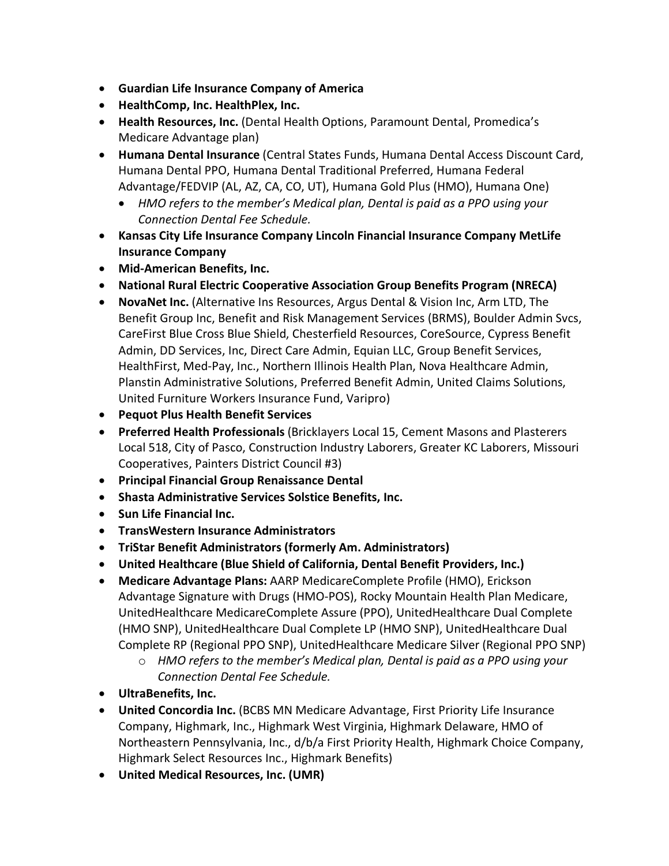- **Guardian Life Insurance Company of America**
- **HealthComp, Inc. HealthPlex, Inc.**
- **Health Resources, Inc.** (Dental Health Options, Paramount Dental, Promedica's Medicare Advantage plan)
- **Humana Dental Insurance** (Central States Funds, Humana Dental Access Discount Card, Humana Dental PPO, Humana Dental Traditional Preferred, Humana Federal Advantage/FEDVIP (AL, AZ, CA, CO, UT), Humana Gold Plus (HMO), Humana One)
	- *HMO refers to the member's Medical plan, Dental is paid as a PPO using your Connection Dental Fee Schedule.*
- **Kansas City Life Insurance Company Lincoln Financial Insurance Company MetLife Insurance Company**
- **Mid-American Benefits, Inc.**
- **National Rural Electric Cooperative Association Group Benefits Program (NRECA)**
- **NovaNet Inc.** (Alternative Ins Resources, Argus Dental & Vision Inc, Arm LTD, The Benefit Group Inc, Benefit and Risk Management Services (BRMS), Boulder Admin Svcs, CareFirst Blue Cross Blue Shield, Chesterfield Resources, CoreSource, Cypress Benefit Admin, DD Services, Inc, Direct Care Admin, Equian LLC, Group Benefit Services, HealthFirst, Med-Pay, Inc., Northern Illinois Health Plan, Nova Healthcare Admin, Planstin Administrative Solutions, Preferred Benefit Admin, United Claims Solutions, United Furniture Workers Insurance Fund, Varipro)
- **Pequot Plus Health Benefit Services**
- **Preferred Health Professionals** (Bricklayers Local 15, Cement Masons and Plasterers Local 518, City of Pasco, Construction Industry Laborers, Greater KC Laborers, Missouri Cooperatives, Painters District Council #3)
- **Principal Financial Group Renaissance Dental**
- **Shasta Administrative Services Solstice Benefits, Inc.**
- **Sun Life Financial Inc.**
- **TransWestern Insurance Administrators**
- **TriStar Benefit Administrators (formerly Am. Administrators)**
- **United Healthcare (Blue Shield of California, Dental Benefit Providers, Inc.)**
- **Medicare Advantage Plans:** AARP MedicareComplete Profile (HMO), Erickson Advantage Signature with Drugs (HMO-POS), Rocky Mountain Health Plan Medicare, UnitedHealthcare MedicareComplete Assure (PPO), UnitedHealthcare Dual Complete (HMO SNP), UnitedHealthcare Dual Complete LP (HMO SNP), UnitedHealthcare Dual Complete RP (Regional PPO SNP), UnitedHealthcare Medicare Silver (Regional PPO SNP)
	- o *HMO refers to the member's Medical plan, Dental is paid as a PPO using your Connection Dental Fee Schedule.*
- **UltraBenefits, Inc.**
- **United Concordia Inc.** (BCBS MN Medicare Advantage, First Priority Life Insurance Company, Highmark, Inc., Highmark West Virginia, Highmark Delaware, HMO of Northeastern Pennsylvania, Inc., d/b/a First Priority Health, Highmark Choice Company, Highmark Select Resources Inc., Highmark Benefits)
- **United Medical Resources, Inc. (UMR)**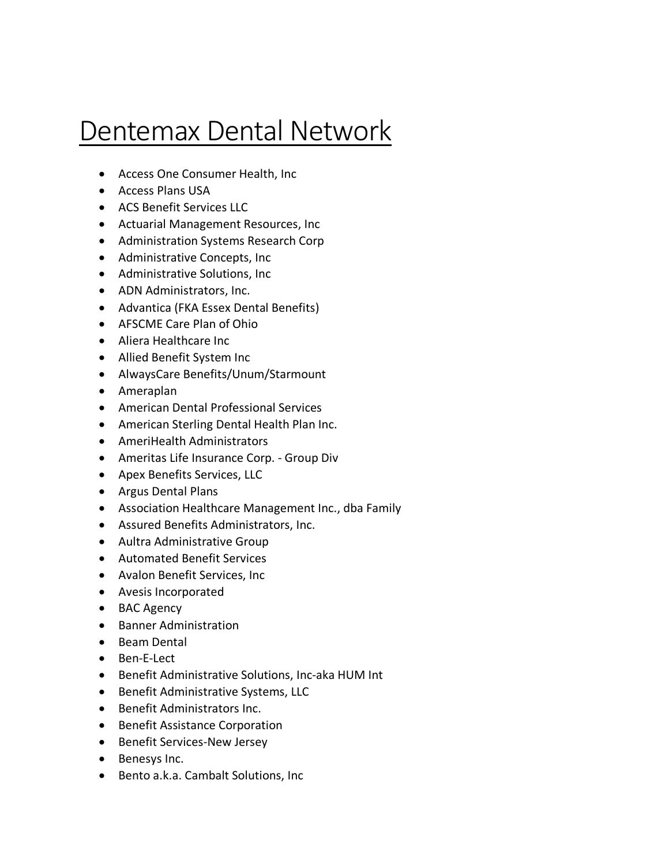## Dentemax Dental Network

- Access One Consumer Health, Inc
- Access Plans USA
- ACS Benefit Services LLC
- Actuarial Management Resources, Inc
- Administration Systems Research Corp
- Administrative Concepts, Inc
- Administrative Solutions, Inc
- ADN Administrators, Inc.
- Advantica (FKA Essex Dental Benefits)
- AFSCME Care Plan of Ohio
- Aliera Healthcare Inc
- Allied Benefit System Inc
- AlwaysCare Benefits/Unum/Starmount
- Ameraplan
- American Dental Professional Services
- American Sterling Dental Health Plan Inc.
- AmeriHealth Administrators
- Ameritas Life Insurance Corp. Group Div
- Apex Benefits Services, LLC
- Argus Dental Plans
- Association Healthcare Management Inc., dba Family
- Assured Benefits Administrators, Inc.
- Aultra Administrative Group
- Automated Benefit Services
- Avalon Benefit Services, Inc
- Avesis Incorporated
- BAC Agency
- Banner Administration
- Beam Dental
- Ben-E-Lect
- Benefit Administrative Solutions, Inc-aka HUM Int
- Benefit Administrative Systems, LLC
- Benefit Administrators Inc.
- Benefit Assistance Corporation
- Benefit Services-New Jersey
- Benesys Inc.
- Bento a.k.a. Cambalt Solutions, Inc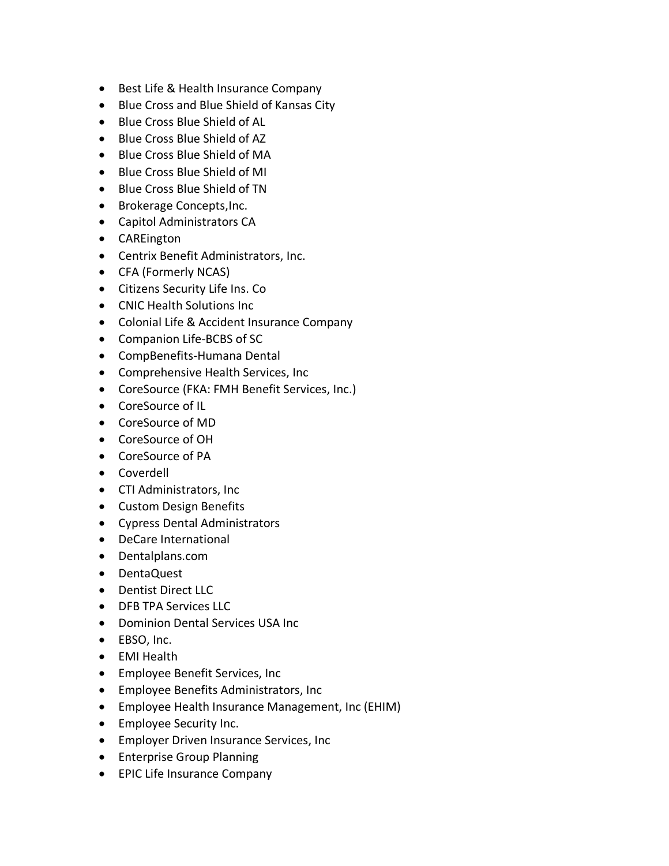- Best Life & Health Insurance Company
- Blue Cross and Blue Shield of Kansas City
- Blue Cross Blue Shield of AL
- Blue Cross Blue Shield of AZ
- Blue Cross Blue Shield of MA
- Blue Cross Blue Shield of MI
- Blue Cross Blue Shield of TN
- Brokerage Concepts,Inc.
- Capitol Administrators CA
- CAREington
- Centrix Benefit Administrators, Inc.
- CFA (Formerly NCAS)
- Citizens Security Life Ins. Co
- CNIC Health Solutions Inc
- Colonial Life & Accident Insurance Company
- Companion Life-BCBS of SC
- CompBenefits-Humana Dental
- Comprehensive Health Services, Inc
- CoreSource (FKA: FMH Benefit Services, Inc.)
- CoreSource of IL
- CoreSource of MD
- CoreSource of OH
- CoreSource of PA
- Coverdell
- CTI Administrators, Inc
- Custom Design Benefits
- Cypress Dental Administrators
- DeCare International
- Dentalplans.com
- DentaQuest
- Dentist Direct LLC
- DFB TPA Services LLC
- Dominion Dental Services USA Inc
- EBSO, Inc.
- EMI Health
- Employee Benefit Services, Inc
- Employee Benefits Administrators, Inc
- Employee Health Insurance Management, Inc (EHIM)
- Employee Security Inc.
- Employer Driven Insurance Services, Inc
- Enterprise Group Planning
- EPIC Life Insurance Company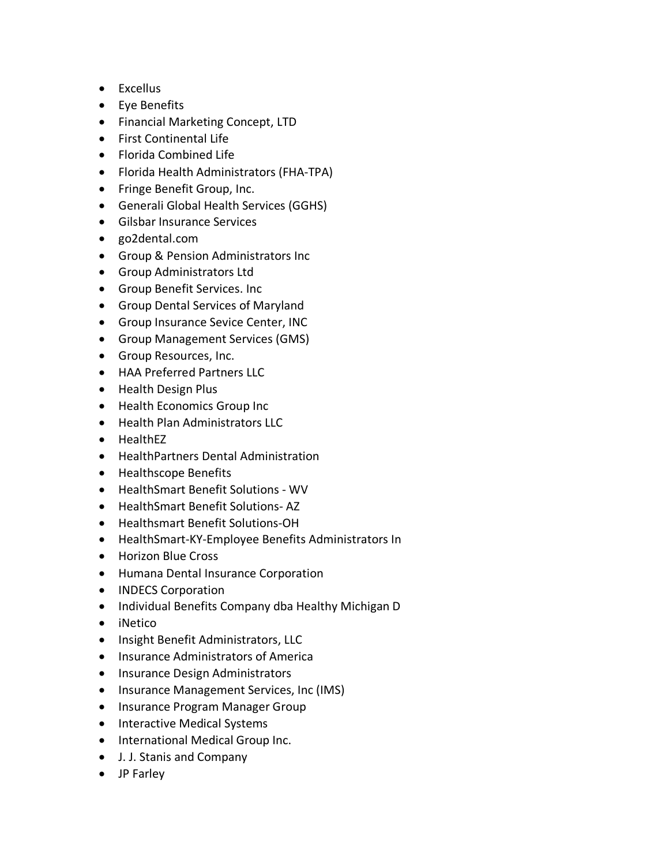- Excellus
- Eye Benefits
- Financial Marketing Concept, LTD
- First Continental Life
- Florida Combined Life
- Florida Health Administrators (FHA-TPA)
- Fringe Benefit Group, Inc.
- Generali Global Health Services (GGHS)
- Gilsbar Insurance Services
- go2dental.com
- Group & Pension Administrators Inc
- Group Administrators Ltd
- Group Benefit Services. Inc
- Group Dental Services of Maryland
- Group Insurance Sevice Center, INC
- Group Management Services (GMS)
- Group Resources, Inc.
- HAA Preferred Partners LLC
- Health Design Plus
- Health Economics Group Inc
- Health Plan Administrators LLC
- HealthEZ
- HealthPartners Dental Administration
- Healthscope Benefits
- HealthSmart Benefit Solutions WV
- HealthSmart Benefit Solutions- AZ
- Healthsmart Benefit Solutions-OH
- HealthSmart-KY-Employee Benefits Administrators In
- Horizon Blue Cross
- Humana Dental Insurance Corporation
- INDECS Corporation
- Individual Benefits Company dba Healthy Michigan D
- iNetico
- Insight Benefit Administrators, LLC
- Insurance Administrators of America
- Insurance Design Administrators
- Insurance Management Services, Inc (IMS)
- Insurance Program Manager Group
- Interactive Medical Systems
- International Medical Group Inc.
- J. J. Stanis and Company
- JP Farley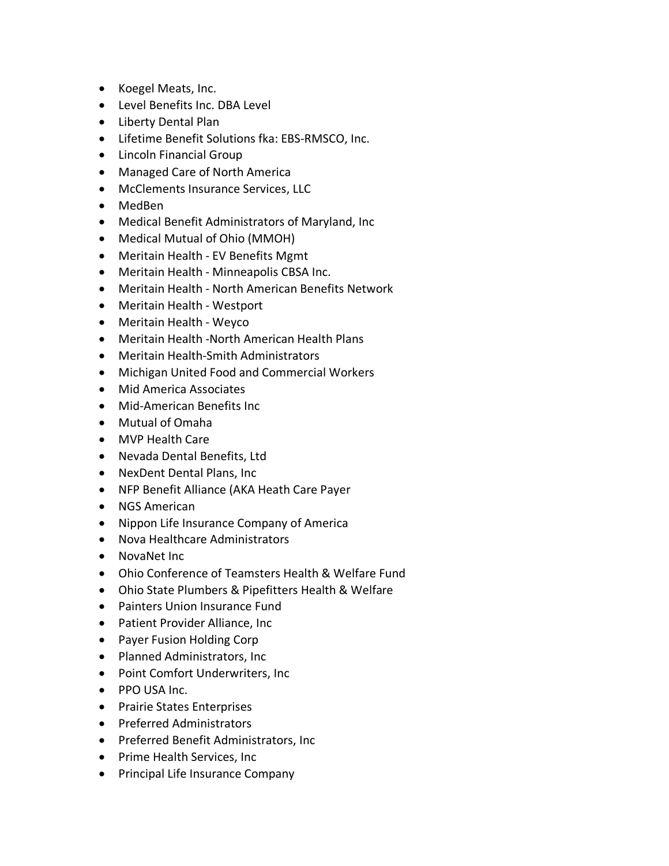- Koegel Meats, Inc.
- Level Benefits Inc. DBA Level
- Liberty Dental Plan
- Lifetime Benefit Solutions fka: EBS-RMSCO, Inc.
- Lincoln Financial Group
- Managed Care of North America
- McClements Insurance Services, LLC
- MedBen
- Medical Benefit Administrators of Maryland, Inc
- Medical Mutual of Ohio (MMOH)
- Meritain Health EV Benefits Mgmt
- Meritain Health Minneapolis CBSA Inc.
- Meritain Health North American Benefits Network
- Meritain Health Westport
- Meritain Health Weyco
- Meritain Health -North American Health Plans
- Meritain Health-Smith Administrators
- Michigan United Food and Commercial Workers
- Mid America Associates
- Mid-American Benefits Inc
- Mutual of Omaha
- MVP Health Care
- Nevada Dental Benefits, Ltd
- NexDent Dental Plans, Inc
- NFP Benefit Alliance (AKA Heath Care Payer
- NGS American
- Nippon Life Insurance Company of America
- Nova Healthcare Administrators
- NovaNet Inc
- Ohio Conference of Teamsters Health & Welfare Fund
- Ohio State Plumbers & Pipefitters Health & Welfare
- Painters Union Insurance Fund
- Patient Provider Alliance, Inc
- Payer Fusion Holding Corp
- Planned Administrators, Inc
- Point Comfort Underwriters, Inc
- PPO USA Inc.
- Prairie States Enterprises
- Preferred Administrators
- Preferred Benefit Administrators, Inc
- Prime Health Services, Inc
- Principal Life Insurance Company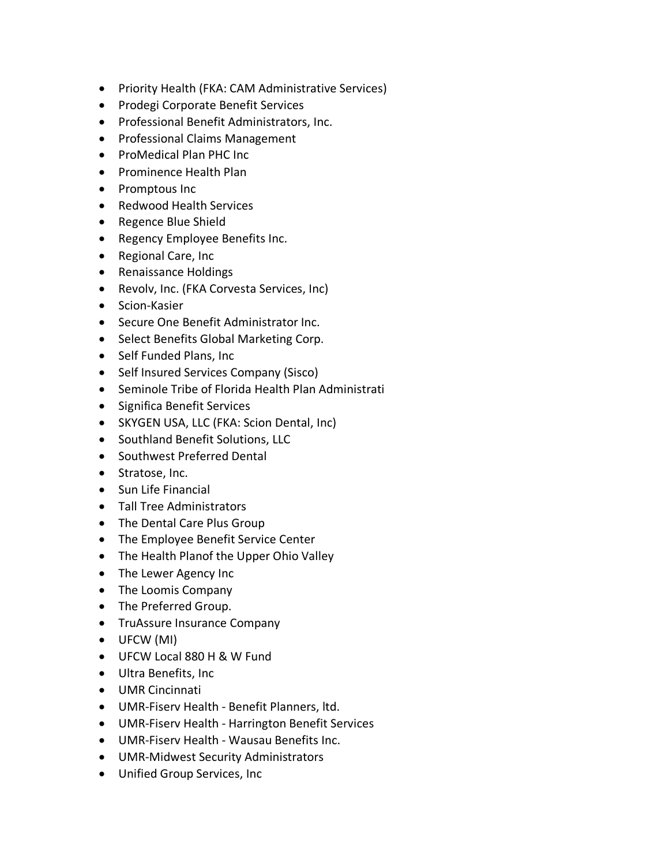- Priority Health (FKA: CAM Administrative Services)
- Prodegi Corporate Benefit Services
- Professional Benefit Administrators, Inc.
- Professional Claims Management
- ProMedical Plan PHC Inc
- Prominence Health Plan
- Promptous Inc
- Redwood Health Services
- Regence Blue Shield
- Regency Employee Benefits Inc.
- Regional Care, Inc
- Renaissance Holdings
- Revolv, Inc. (FKA Corvesta Services, Inc)
- Scion-Kasier
- Secure One Benefit Administrator Inc.
- Select Benefits Global Marketing Corp.
- Self Funded Plans, Inc
- Self Insured Services Company (Sisco)
- Seminole Tribe of Florida Health Plan Administrati
- Significa Benefit Services
- SKYGEN USA, LLC (FKA: Scion Dental, Inc)
- Southland Benefit Solutions, LLC
- Southwest Preferred Dental
- Stratose, Inc.
- Sun Life Financial
- Tall Tree Administrators
- The Dental Care Plus Group
- The Employee Benefit Service Center
- The Health Planof the Upper Ohio Valley
- The Lewer Agency Inc
- The Loomis Company
- The Preferred Group.
- TruAssure Insurance Company
- UFCW (MI)
- UFCW Local 880 H & W Fund
- Ultra Benefits, Inc
- UMR Cincinnati
- UMR-Fiserv Health Benefit Planners, ltd.
- UMR-Fiserv Health Harrington Benefit Services
- UMR-Fiserv Health Wausau Benefits Inc.
- UMR-Midwest Security Administrators
- Unified Group Services, Inc